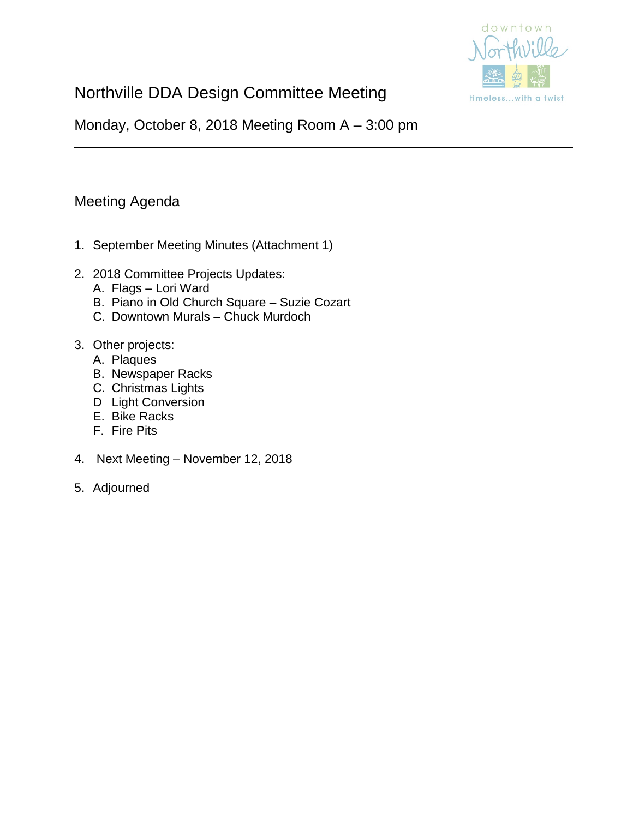

# Northville DDA Design Committee Meeting

Monday, October 8, 2018 Meeting Room A – 3:00 pm

# Meeting Agenda

- 1. September Meeting Minutes (Attachment 1)
- 2. 2018 Committee Projects Updates:
	- A. Flags Lori Ward
	- B. Piano in Old Church Square Suzie Cozart
	- C. Downtown Murals Chuck Murdoch
- 3. Other projects:
	- A. Plaques
	- B. Newspaper Racks
	- C. Christmas Lights
	- D Light Conversion
	- E. Bike Racks
	- F. Fire Pits
- 4. Next Meeting November 12, 2018
- 5. Adjourned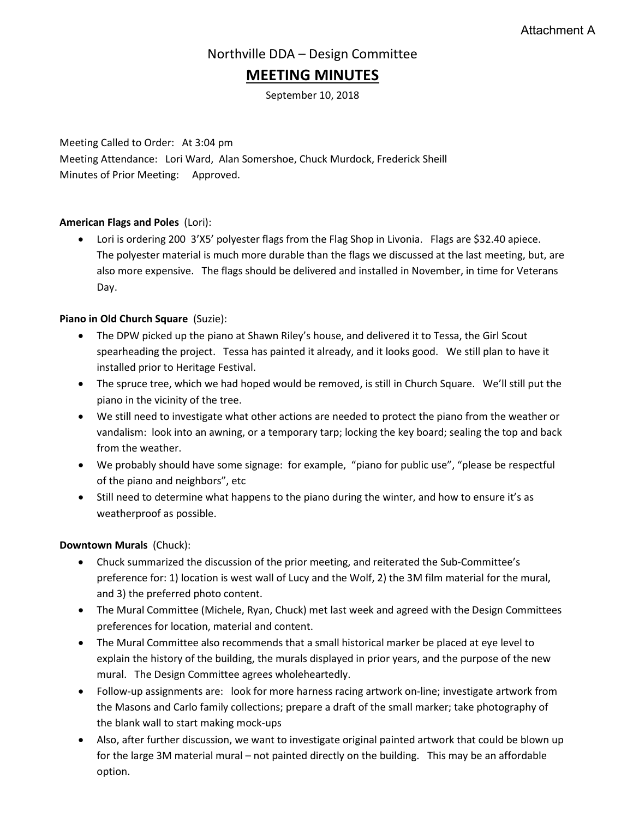## Northville DDA – Design Committee

## **MEETING MINUTES**

September 10, 2018

Meeting Called to Order: At 3:04 pm Meeting Attendance: Lori Ward, Alan Somershoe, Chuck Murdock, Frederick Sheill Minutes of Prior Meeting: Approved.

#### **American Flags and Poles** (Lori):

• Lori is ordering 200 3'X5' polyester flags from the Flag Shop in Livonia. Flags are \$32.40 apiece. The polyester material is much more durable than the flags we discussed at the last meeting, but, are also more expensive. The flags should be delivered and installed in November, in time for Veterans Day.

#### **Piano in Old Church Square** (Suzie):

- The DPW picked up the piano at Shawn Riley's house, and delivered it to Tessa, the Girl Scout spearheading the project. Tessa has painted it already, and it looks good. We still plan to have it installed prior to Heritage Festival.
- The spruce tree, which we had hoped would be removed, is still in Church Square. We'll still put the piano in the vicinity of the tree.
- We still need to investigate what other actions are needed to protect the piano from the weather or vandalism: look into an awning, or a temporary tarp; locking the key board; sealing the top and back from the weather.
- We probably should have some signage: for example, "piano for public use", "please be respectful of the piano and neighbors", etc
- Still need to determine what happens to the piano during the winter, and how to ensure it's as weatherproof as possible.

#### **Downtown Murals** (Chuck):

- Chuck summarized the discussion of the prior meeting, and reiterated the Sub-Committee's preference for: 1) location is west wall of Lucy and the Wolf, 2) the 3M film material for the mural, and 3) the preferred photo content.
- The Mural Committee (Michele, Ryan, Chuck) met last week and agreed with the Design Committees preferences for location, material and content.
- The Mural Committee also recommends that a small historical marker be placed at eye level to explain the history of the building, the murals displayed in prior years, and the purpose of the new mural. The Design Committee agrees wholeheartedly.
- Follow-up assignments are: look for more harness racing artwork on-line; investigate artwork from the Masons and Carlo family collections; prepare a draft of the small marker; take photography of the blank wall to start making mock-ups
- Also, after further discussion, we want to investigate original painted artwork that could be blown up for the large 3M material mural – not painted directly on the building. This may be an affordable option.